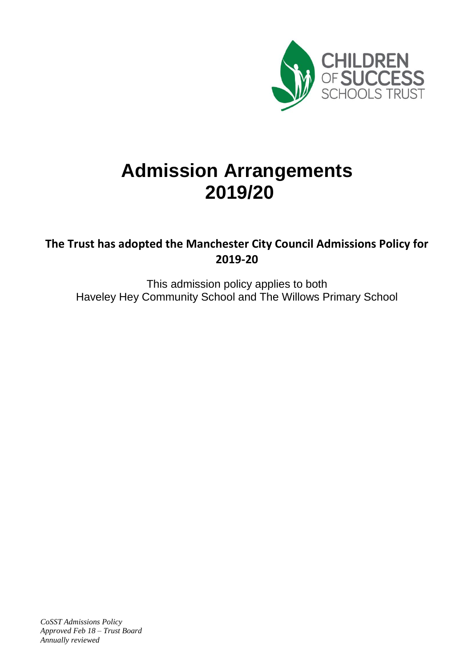

# **Admission Arrangements 2019/20**

# **The Trust has adopted the Manchester City Council Admissions Policy for 2019-20**

This admission policy applies to both Haveley Hey Community School and The Willows Primary School

*CoSST Admissions Policy Approved Feb 18 – Trust Board Annually reviewed*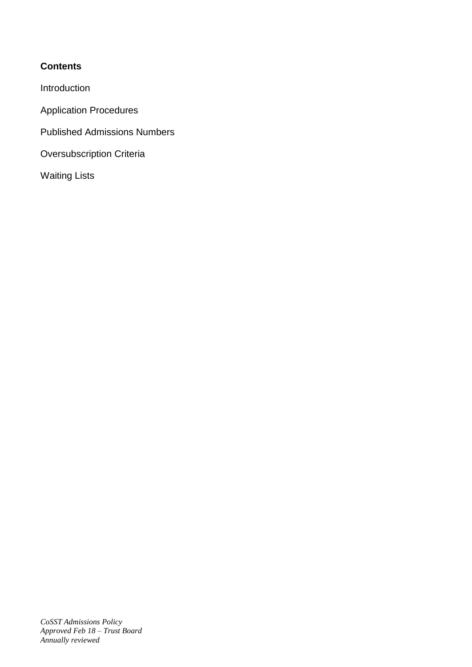# **Contents**

Introduction

Application Procedures

Published Admissions Numbers

Oversubscription Criteria

Waiting Lists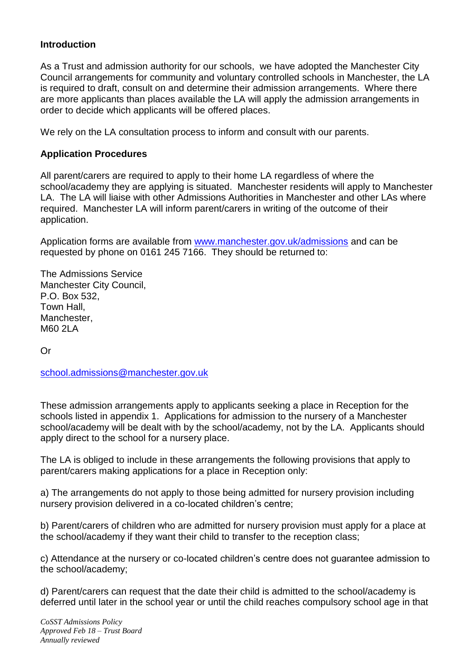#### **Introduction**

As a Trust and admission authority for our schools, we have adopted the Manchester City Council arrangements for community and voluntary controlled schools in Manchester, the LA is required to draft, consult on and determine their admission arrangements. Where there are more applicants than places available the LA will apply the admission arrangements in order to decide which applicants will be offered places.

We rely on the LA consultation process to inform and consult with our parents.

#### **Application Procedures**

All parent/carers are required to apply to their home LA regardless of where the school/academy they are applying is situated. Manchester residents will apply to Manchester LA. The LA will liaise with other Admissions Authorities in Manchester and other LAs where required. Manchester LA will inform parent/carers in writing of the outcome of their application.

Application forms are available from [www.manchester.gov.uk/admissions](http://www.manchester.gov.uk/admissions) and can be requested by phone on 0161 245 7166. They should be returned to:

The Admissions Service Manchester City Council, P.O. Box 532, Town Hall, Manchester, M60 2LA

Or

[school.admissions@manchester.gov.uk](mailto:school.admissions@manchester.gov.uk)

These admission arrangements apply to applicants seeking a place in Reception for the schools listed in appendix 1. Applications for admission to the nursery of a Manchester school/academy will be dealt with by the school/academy, not by the LA. Applicants should apply direct to the school for a nursery place.

The LA is obliged to include in these arrangements the following provisions that apply to parent/carers making applications for a place in Reception only:

a) The arrangements do not apply to those being admitted for nursery provision including nursery provision delivered in a co-located children's centre;

b) Parent/carers of children who are admitted for nursery provision must apply for a place at the school/academy if they want their child to transfer to the reception class;

c) Attendance at the nursery or co-located children's centre does not guarantee admission to the school/academy;

d) Parent/carers can request that the date their child is admitted to the school/academy is deferred until later in the school year or until the child reaches compulsory school age in that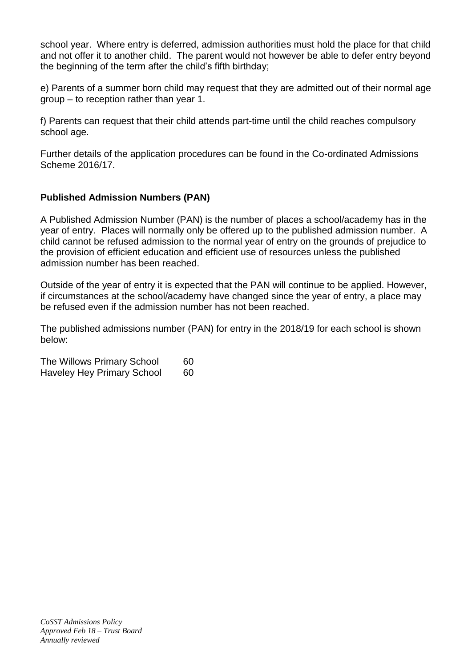school year. Where entry is deferred, admission authorities must hold the place for that child and not offer it to another child. The parent would not however be able to defer entry beyond the beginning of the term after the child's fifth birthday;

e) Parents of a summer born child may request that they are admitted out of their normal age group – to reception rather than year 1.

f) Parents can request that their child attends part-time until the child reaches compulsory school age.

Further details of the application procedures can be found in the Co-ordinated Admissions Scheme 2016/17.

# **Published Admission Numbers (PAN)**

A Published Admission Number (PAN) is the number of places a school/academy has in the year of entry. Places will normally only be offered up to the published admission number. A child cannot be refused admission to the normal year of entry on the grounds of prejudice to the provision of efficient education and efficient use of resources unless the published admission number has been reached.

Outside of the year of entry it is expected that the PAN will continue to be applied. However, if circumstances at the school/academy have changed since the year of entry, a place may be refused even if the admission number has not been reached.

The published admissions number (PAN) for entry in the 2018/19 for each school is shown below:

The Willows Primary School 60 Haveley Hey Primary School 60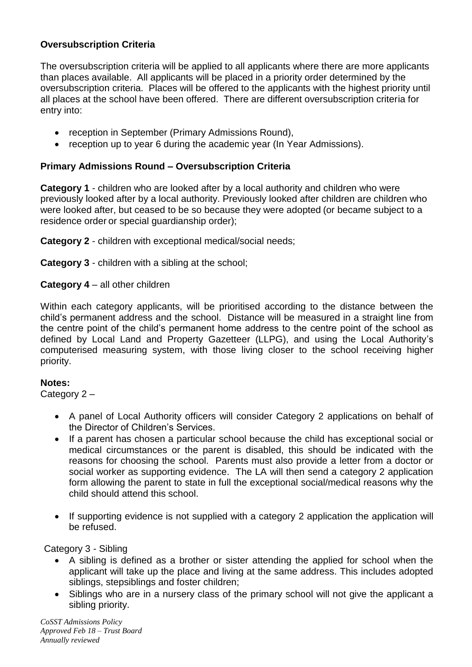## **Oversubscription Criteria**

The oversubscription criteria will be applied to all applicants where there are more applicants than places available. All applicants will be placed in a priority order determined by the oversubscription criteria. Places will be offered to the applicants with the highest priority until all places at the school have been offered. There are different oversubscription criteria for entry into:

- reception in September (Primary Admissions Round),
- reception up to year 6 during the academic year (In Year Admissions).

#### **Primary Admissions Round – Oversubscription Criteria**

**Category 1** - children who are looked after by a local authority and children who were previously looked after by a local authority. Previously looked after children are children who were looked after, but ceased to be so because they were adopted (or became subject to a residence order or special guardianship order);

**Category 2** - children with exceptional medical/social needs;

**Category 3** - children with a sibling at the school;

**Category 4** – all other children

Within each category applicants, will be prioritised according to the distance between the child's permanent address and the school. Distance will be measured in a straight line from the centre point of the child's permanent home address to the centre point of the school as defined by Local Land and Property Gazetteer (LLPG), and using the Local Authority's computerised measuring system, with those living closer to the school receiving higher priority.

#### **Notes:**

Category 2 –

- A panel of Local Authority officers will consider Category 2 applications on behalf of the Director of Children's Services.
- If a parent has chosen a particular school because the child has exceptional social or medical circumstances or the parent is disabled, this should be indicated with the reasons for choosing the school. Parents must also provide a letter from a doctor or social worker as supporting evidence. The LA will then send a category 2 application form allowing the parent to state in full the exceptional social/medical reasons why the child should attend this school.
- If supporting evidence is not supplied with a category 2 application the application will be refused.

Category 3 - Sibling

- A sibling is defined as a brother or sister attending the applied for school when the applicant will take up the place and living at the same address. This includes adopted siblings, stepsiblings and foster children;
- Siblings who are in a nursery class of the primary school will not give the applicant a sibling priority.

*CoSST Admissions Policy Approved Feb 18 – Trust Board Annually reviewed*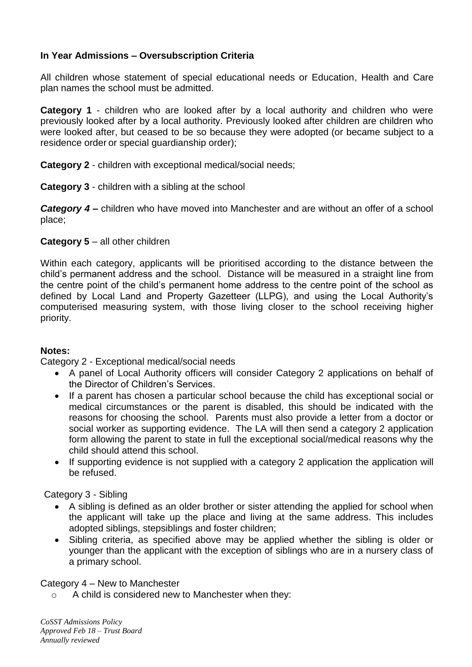## **In Year Admissions – Oversubscription Criteria**

All children whose statement of special educational needs or Education, Health and Care plan names the school must be admitted.

**Category 1** - children who are looked after by a local authority and children who were previously looked after by a local authority. Previously looked after children are children who were looked after, but ceased to be so because they were adopted (or became subject to a residence order or special guardianship order);

#### **Category 2** - children with exceptional medical/social needs;

#### **Category 3** - children with a sibling at the school

*Category 4 –* children who have moved into Manchester and are without an offer of a school place;

#### **Category 5** – all other children

Within each category, applicants will be prioritised according to the distance between the child's permanent address and the school. Distance will be measured in a straight line from the centre point of the child's permanent home address to the centre point of the school as defined by Local Land and Property Gazetteer (LLPG), and using the Local Authority's computerised measuring system, with those living closer to the school receiving higher priority.

#### **Notes:**

Category 2 - Exceptional medical/social needs

- A panel of Local Authority officers will consider Category 2 applications on behalf of the Director of Children's Services.
- If a parent has chosen a particular school because the child has exceptional social or medical circumstances or the parent is disabled, this should be indicated with the reasons for choosing the school. Parents must also provide a letter from a doctor or social worker as supporting evidence. The LA will then send a category 2 application form allowing the parent to state in full the exceptional social/medical reasons why the child should attend this school.
- If supporting evidence is not supplied with a category 2 application the application will be refused.

Category 3 - Sibling

- A sibling is defined as an older brother or sister attending the applied for school when the applicant will take up the place and living at the same address. This includes adopted siblings, stepsiblings and foster children;
- Sibling criteria, as specified above may be applied whether the sibling is older or younger than the applicant with the exception of siblings who are in a nursery class of a primary school.

#### Category 4 – New to Manchester

o A child is considered new to Manchester when they:

*CoSST Admissions Policy Approved Feb 18 – Trust Board Annually reviewed*